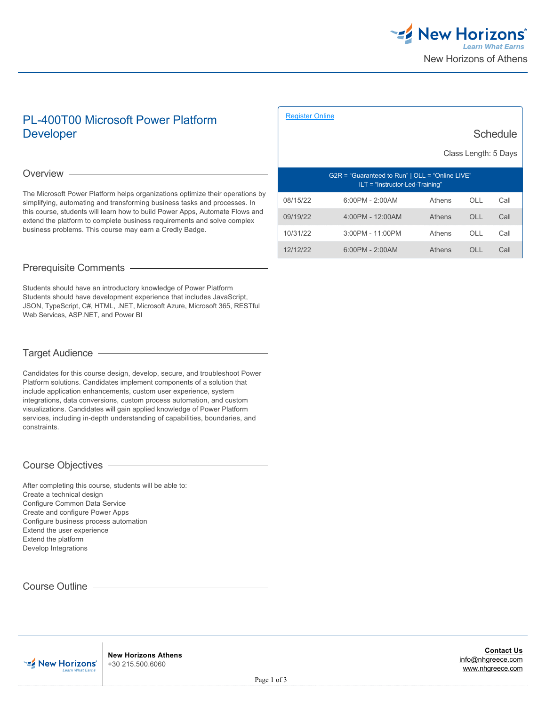

**Schedule** 

# PL-400T00 Microsoft Power Platform Developer

### Overview —

The Microsoft Power Platform helps organizations optimize their operations by simplifying, automating and transforming business tasks and processes. In this course, students will learn how to build Power Apps, Automate Flows and extend the platform to complete business requirements and solve complex business problems. This course may earn a Credly Badge.

# Prerequisite Comments

Students should have an introductory knowledge of Power Platform Students should have development experience that includes JavaScript, JSON, TypeScript, C#, HTML, .NET, Microsoft Azure, Microsoft 365, RESTful Web Services, ASP.NET, and Power BI

# Target Audience

Candidates for this course design, develop, secure, and troubleshoot Power Platform solutions. Candidates implement components of a solution that include application enhancements, custom user experience, system integrations, data conversions, custom process automation, and custom visualizations. Candidates will gain applied knowledge of Power Platform services, including in-depth understanding of capabilities, boundaries, and constraints.

## Course Objectives

After completing this course, students will be able to: Create a technical design Configure Common Data Service Create and configure Power Apps Configure business process automation Extend the user experience Extend the platform Develop Integrations

Course Outline **Course Outline** 

**EZ** New Horizons'

|                                                                                        |                     |        | Class Length: 5 Days |      |
|----------------------------------------------------------------------------------------|---------------------|--------|----------------------|------|
| $G2R = "Guaranteed to Run"   OLL = "Online LIVE"$<br>$ILT = "Instructor-Led-Training"$ |                     |        |                      |      |
| 08/15/22                                                                               | $6.00$ PM - 2.00AM  | Athens | OH.                  | Call |
| 09/19/22                                                                               | $4:00PM - 12:00AM$  | Athens | O <sub>1</sub>       | Call |
| 10/31/22                                                                               | $3.00$ PM - 11.00PM | Athens | OH.                  | Call |
| 12/12/22                                                                               | $6:00PM - 2:00AM$   | Athens | OH.                  | Call |

[Register Online](https://www.nhgreece.com//en-us/training-and-certifications/course-outline/id/1035994141)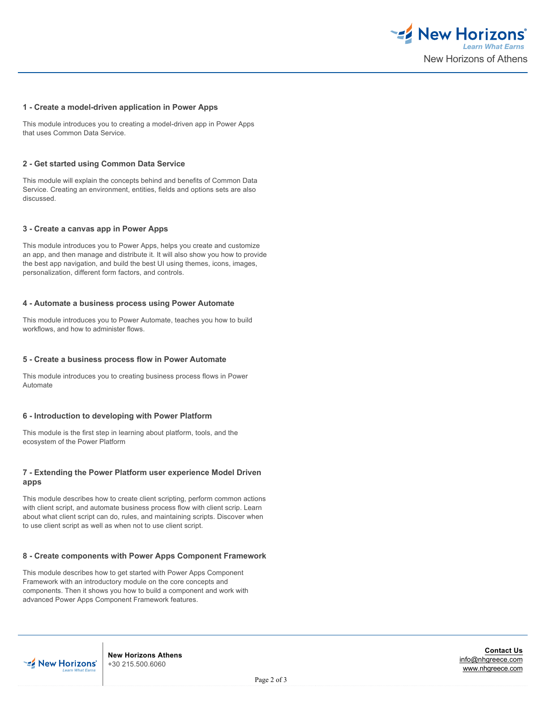

#### **1 - Create a model-driven application in Power Apps**

This module introduces you to creating a model-driven app in Power Apps that uses Common Data Service.

#### **2 - Get started using Common Data Service**

This module will explain the concepts behind and benefits of Common Data Service. Creating an environment, entities, fields and options sets are also discussed.

#### **3 - Create a canvas app in Power Apps**

This module introduces you to Power Apps, helps you create and customize an app, and then manage and distribute it. It will also show you how to provide the best app navigation, and build the best UI using themes, icons, images, personalization, different form factors, and controls.

#### **4 - Automate a business process using Power Automate**

This module introduces you to Power Automate, teaches you how to build workflows, and how to administer flows.

#### **5 - Create a business process flow in Power Automate**

This module introduces you to creating business process flows in Power Automate

#### **6 - Introduction to developing with Power Platform**

This module is the first step in learning about platform, tools, and the ecosystem of the Power Platform

### **7 - Extending the Power Platform user experience Model Driven apps**

This module describes how to create client scripting, perform common actions with client script, and automate business process flow with client scrip. Learn about what client script can do, rules, and maintaining scripts. Discover when to use client script as well as when not to use client script.

#### **8 - Create components with Power Apps Component Framework**

This module describes how to get started with Power Apps Component Framework with an introductory module on the core concepts and components. Then it shows you how to build a component and work with advanced Power Apps Component Framework features.



**New Horizons Athens** +30 215.500.6060

**Contact Us** [info@nhgreece.com](mailto:info@nhgreece.com) [www.nhgreece.com](http://www.nhgreece.com)